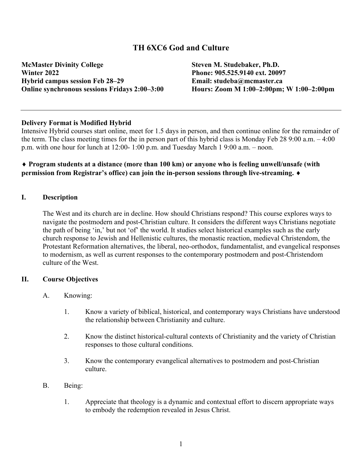# **TH 6XC6 God and Culture**

**McMaster Divinity College Steven M. Studebaker, Ph.D. Winter 2022 Phone: 905.525.9140 ext. 20097 Hybrid campus session Feb 28–29 Email: studeba@mcmaster.ca**

**Online synchronous sessions Fridays 2:00–3:00 Hours: Zoom M 1:00–2:00pm; W 1:00–2:00pm**

#### **Delivery Format is Modified Hybrid**

Intensive Hybrid courses start online, meet for 1.5 days in person, and then continue online for the remainder of the term. The class meeting times for the in person part of this hybrid class is Monday Feb 28 9:00 a.m. – 4:00 p.m. with one hour for lunch at 12:00- 1:00 p.m. and Tuesday March 1 9:00 a.m. – noon.

## ¨ **Program students at a distance (more than 100 km) or anyone who is feeling unwell/unsafe (with permission from Registrar's office) can join the in-person sessions through live-streaming.**  $\blacklozenge$

#### **I. Description**

The West and its church are in decline. How should Christians respond? This course explores ways to navigate the postmodern and post-Christian culture. It considers the different ways Christians negotiate the path of being 'in,' but not 'of' the world. It studies select historical examples such as the early church response to Jewish and Hellenistic cultures, the monastic reaction, medieval Christendom, the Protestant Reformation alternatives, the liberal, neo-orthodox, fundamentalist, and evangelical responses to modernism, as well as current responses to the contemporary postmodern and post-Christendom culture of the West.

#### **II. Course Objectives**

- A. Knowing:
	- 1. Know a variety of biblical, historical, and contemporary ways Christians have understood the relationship between Christianity and culture.
	- 2. Know the distinct historical-cultural contexts of Christianity and the variety of Christian responses to those cultural conditions.
	- 3. Know the contemporary evangelical alternatives to postmodern and post-Christian culture.
- B. Being:
	- 1. Appreciate that theology is a dynamic and contextual effort to discern appropriate ways to embody the redemption revealed in Jesus Christ.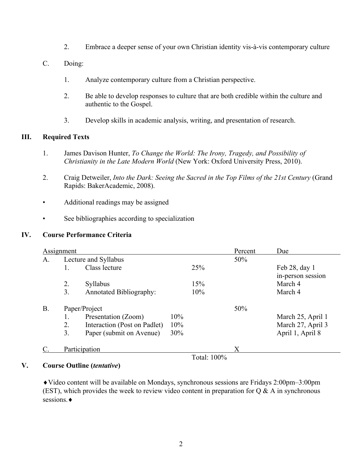- 2. Embrace a deeper sense of your own Christian identity vis-à-vis contemporary culture
- C. Doing:
	- 1. Analyze contemporary culture from a Christian perspective.
	- 2. Be able to develop responses to culture that are both credible within the culture and authentic to the Gospel.
	- 3. Develop skills in academic analysis, writing, and presentation of research.

## **III. Required Texts**

- 1. James Davison Hunter, *To Change the World: The Irony, Tragedy, and Possibility of Christianity in the Late Modern World* (New York: Oxford University Press, 2010).
- 2. Craig Detweiler, *Into the Dark: Seeing the Sacred in the Top Films of the 21st Century* (Grand Rapids: BakerAcademic, 2008).
- Additional readings may be assigned
- See bibliographies according to specialization

## **IV. Course Performance Criteria**

| <b>Assignment</b> |                      |                                |     |             | Percent | Due               |
|-------------------|----------------------|--------------------------------|-----|-------------|---------|-------------------|
| A.                | Lecture and Syllabus |                                |     |             | 50%     |                   |
|                   |                      | Class lecture                  |     | 25%         |         | Feb 28, day 1     |
|                   |                      |                                |     |             |         | in-person session |
|                   | 2.                   | Syllabus                       |     | 15%         |         | March 4           |
|                   | $\overline{3}$ .     | <b>Annotated Bibliography:</b> |     | 10%         |         | March 4           |
| <b>B.</b>         | Paper/Project        |                                |     |             | 50%     |                   |
|                   | 1.                   | Presentation (Zoom)            | 10% |             |         | March 25, April 1 |
|                   | 2.                   | Interaction (Post on Padlet)   | 10% |             |         | March 27, April 3 |
|                   | 3.                   | Paper (submit on Avenue)       | 30% |             |         | April 1, April 8  |
|                   | Participation        |                                |     |             | X       |                   |
|                   |                      |                                |     | Total: 100% |         |                   |

## **V. Course Outline (***tentative***)**

¨Video content will be available on Mondays, synchronous sessions are Fridays 2:00pm–3:00pm (EST), which provides the week to review video content in preparation for  $Q & A$  in synchronous sessions. ♦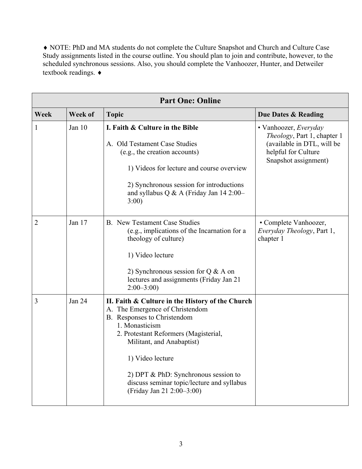¨ NOTE: PhD and MA students do not complete the Culture Snapshot and Church and Culture Case Study assignments listed in the course outline. You should plan to join and contribute, however, to the scheduled synchronous sessions. Also, you should complete the Vanhoozer, Hunter, and Detweiler textbook readings.  $\bullet$ 

| <b>Part One: Online</b> |          |                                                                                                                                                                                                                                                                                                                                                   |                                                                                                                                   |
|-------------------------|----------|---------------------------------------------------------------------------------------------------------------------------------------------------------------------------------------------------------------------------------------------------------------------------------------------------------------------------------------------------|-----------------------------------------------------------------------------------------------------------------------------------|
| Week                    | Week of  | <b>Topic</b>                                                                                                                                                                                                                                                                                                                                      | Due Dates & Reading                                                                                                               |
| 1                       | Jan $10$ | I. Faith & Culture in the Bible<br>A. Old Testament Case Studies<br>(e.g., the creation accounts)<br>1) Videos for lecture and course overview<br>2) Synchronous session for introductions<br>and syllabus Q & A (Friday Jan $14 2:00-$<br>3:00)                                                                                                  | • Vanhoozer, Everyday<br>Theology, Part 1, chapter 1<br>(available in DTL, will be<br>helpful for Culture<br>Snapshot assignment) |
| 2                       | Jan 17   | B. New Testament Case Studies<br>(e.g., implications of the Incarnation for a<br>theology of culture)<br>1) Video lecture<br>2) Synchronous session for $Q & A$ on<br>lectures and assignments (Friday Jan 21<br>$2:00 - 3:00$                                                                                                                    | • Complete Vanhoozer,<br><i>Everyday Theology</i> , Part 1,<br>chapter 1                                                          |
| 3                       | Jan 24   | II. Faith & Culture in the History of the Church<br>A. The Emergence of Christendom<br>B. Responses to Christendom<br>1. Monasticism<br>2. Protestant Reformers (Magisterial,<br>Militant, and Anabaptist)<br>1) Video lecture<br>2) DPT & PhD: Synchronous session to<br>discuss seminar topic/lecture and syllabus<br>(Friday Jan 21 2:00-3:00) |                                                                                                                                   |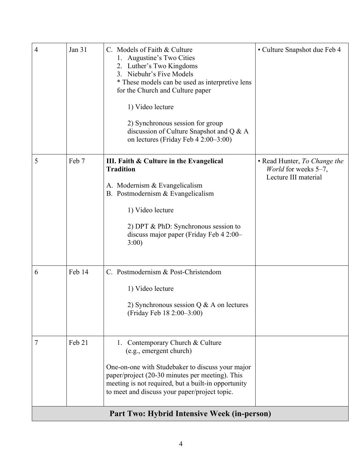| $\overline{4}$ | Jan 31 | C. Models of Faith & Culture<br>Augustine's Two Cities<br>2. Luther's Two Kingdoms<br>3. Niebuhr's Five Models<br>* These models can be used as interpretive lens<br>for the Church and Culture paper<br>1) Video lecture<br>2) Synchronous session for group<br>discussion of Culture Snapshot and Q & A<br>on lectures (Friday Feb 4 2:00–3:00) | • Culture Snapshot due Feb 4                                                 |
|----------------|--------|---------------------------------------------------------------------------------------------------------------------------------------------------------------------------------------------------------------------------------------------------------------------------------------------------------------------------------------------------|------------------------------------------------------------------------------|
| 5              | Feb 7  | III. Faith & Culture in the Evangelical<br><b>Tradition</b><br>A. Modernism & Evangelicalism<br>B. Postmodernism & Evangelicalism<br>1) Video lecture<br>2) DPT & PhD: Synchronous session to<br>discuss major paper (Friday Feb 4 2:00-<br>3:00)                                                                                                 | • Read Hunter, To Change the<br>World for weeks 5-7,<br>Lecture III material |
| 6              | Feb 14 | C. Postmodernism & Post-Christendom<br>1) Video lecture<br>2) Synchronous session $Q & A$ on lectures<br>(Friday Feb 18 2:00-3:00)                                                                                                                                                                                                                |                                                                              |
| 7              | Feb 21 | 1. Contemporary Church & Culture<br>(e.g., emergent church)<br>One-on-one with Studebaker to discuss your major<br>paper/project (20-30 minutes per meeting). This<br>meeting is not required, but a built-in opportunity<br>to meet and discuss your paper/project topic.                                                                        |                                                                              |
|                |        | Part Two: Hybrid Intensive Week (in-person)                                                                                                                                                                                                                                                                                                       |                                                                              |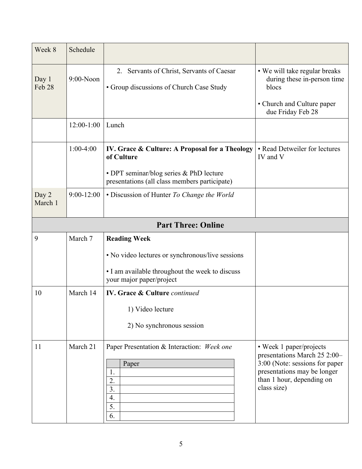| Week 8                    | Schedule       |                                                                                                                                                          |                                                                                                                                                                      |  |
|---------------------------|----------------|----------------------------------------------------------------------------------------------------------------------------------------------------------|----------------------------------------------------------------------------------------------------------------------------------------------------------------------|--|
| Day 1<br>Feb 28           | $9:00-N$ oon   | 2. Servants of Christ, Servants of Caesar<br>• Group discussions of Church Case Study                                                                    | • We will take regular breaks<br>during these in-person time<br>blocs<br>• Church and Culture paper<br>due Friday Feb 28                                             |  |
|                           | $12:00-1:00$   | Lunch                                                                                                                                                    |                                                                                                                                                                      |  |
|                           | $1:00-4:00$    | IV. Grace & Culture: A Proposal for a Theology<br>of Culture<br>• DPT seminar/blog series & PhD lecture<br>presentations (all class members participate) | • Read Detweiler for lectures<br>IV and V                                                                                                                            |  |
| Day 2<br>March 1          | $9:00 - 12:00$ | • Discussion of Hunter To Change the World                                                                                                               |                                                                                                                                                                      |  |
| <b>Part Three: Online</b> |                |                                                                                                                                                          |                                                                                                                                                                      |  |
| 9                         | March 7        | <b>Reading Week</b><br>• No video lectures or synchronous/live sessions<br>• I am available throughout the week to discuss<br>your major paper/project   |                                                                                                                                                                      |  |
| 10                        | March 14       | <b>IV. Grace &amp; Culture continued</b><br>1) Video lecture<br>2) No synchronous session                                                                |                                                                                                                                                                      |  |
| 11                        | March 21       | Paper Presentation & Interaction: Week one<br>Paper<br>1.<br>2.<br>3.<br>4.<br>5.<br>6.                                                                  | • Week 1 paper/projects<br>presentations March 25 2:00-<br>3:00 (Note: sessions for paper<br>presentations may be longer<br>than 1 hour, depending on<br>class size) |  |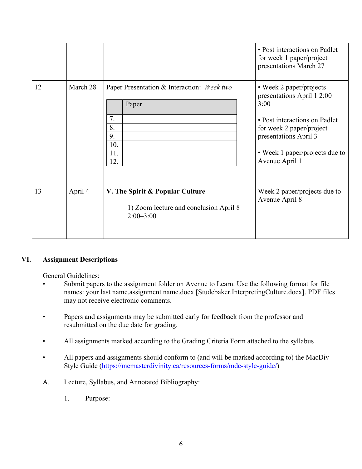|    |          |                                                                                            | • Post interactions on Padlet<br>for week 1 paper/project<br>presentations March 27                                                                                                                      |
|----|----------|--------------------------------------------------------------------------------------------|----------------------------------------------------------------------------------------------------------------------------------------------------------------------------------------------------------|
| 12 | March 28 | Paper Presentation & Interaction: Week two<br>Paper<br>7.<br>8.<br>9.<br>10.<br>11.<br>12. | • Week 2 paper/projects<br>presentations April 1 2:00-<br>3:00<br>• Post interactions on Padlet<br>for week 2 paper/project<br>presentations April 3<br>• Week 1 paper/projects due to<br>Avenue April 1 |
| 13 | April 4  | V. The Spirit & Popular Culture<br>1) Zoom lecture and conclusion April 8<br>$2:00 - 3:00$ | Week 2 paper/projects due to<br>Avenue April 8                                                                                                                                                           |

# **VI. Assignment Descriptions**

General Guidelines:

- Submit papers to the assignment folder on Avenue to Learn. Use the following format for file names: your last name.assignment name.docx [Studebaker.InterpretingCulture.docx]. PDF files may not receive electronic comments.
- Papers and assignments may be submitted early for feedback from the professor and resubmitted on the due date for grading.
- All assignments marked according to the Grading Criteria Form attached to the syllabus
- All papers and assignments should conform to (and will be marked according to) the MacDiv Style Guide (https://mcmasterdivinity.ca/resources-forms/mdc-style-guide/)
- A. Lecture, Syllabus, and Annotated Bibliography:
	- 1. Purpose: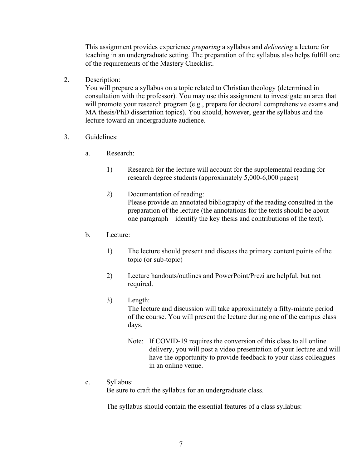This assignment provides experience *preparing* a syllabus and *delivering* a lecture for teaching in an undergraduate setting. The preparation of the syllabus also helps fulfill one of the requirements of the Mastery Checklist.

2. Description:

You will prepare a syllabus on a topic related to Christian theology (determined in consultation with the professor). You may use this assignment to investigate an area that will promote your research program (e.g., prepare for doctoral comprehensive exams and MA thesis/PhD dissertation topics). You should, however, gear the syllabus and the lecture toward an undergraduate audience.

- 3. Guidelines:
	- a. Research:
		- 1) Research for the lecture will account for the supplemental reading for research degree students (approximately 5,000-6,000 pages)
		- 2) Documentation of reading: Please provide an annotated bibliography of the reading consulted in the preparation of the lecture (the annotations for the texts should be about one paragraph—identify the key thesis and contributions of the text).
	- b. Lecture:
		- 1) The lecture should present and discuss the primary content points of the topic (or sub-topic)
		- 2) Lecture handouts/outlines and PowerPoint/Prezi are helpful, but not required.
		- 3) Length:

The lecture and discussion will take approximately a fifty-minute period of the course. You will present the lecture during one of the campus class days.

- Note: If COVID-19 requires the conversion of this class to all online delivery, you will post a video presentation of your lecture and will have the opportunity to provide feedback to your class colleagues in an online venue.
- c. Syllabus:

Be sure to craft the syllabus for an undergraduate class.

The syllabus should contain the essential features of a class syllabus: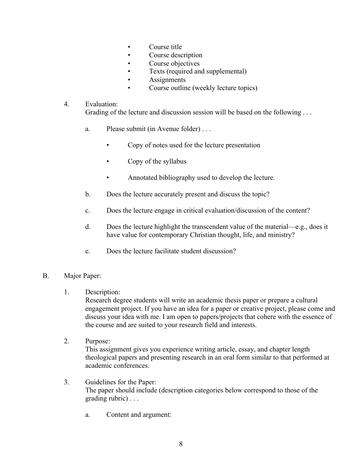- Course title
- Course description
- Course objectives
- Texts (required and supplemental)
- **Assignments**
- Course outline (weekly lecture topics)

## 4. Evaluation:

Grading of the lecture and discussion session will be based on the following ...

- a. Please submit (in Avenue folder) . . .
	- Copy of notes used for the lecture presentation
	- Copy of the syllabus
	- Annotated bibliography used to develop the lecture.
- b. Does the lecture accurately present and discuss the topic?
- c. Does the lecture engage in critical evaluation/discussion of the content?
- d. Does the lecture highlight the transcendent value of the material—e.g., does it have value for contemporary Christian thought, life, and ministry?
- e. Does the lecture facilitate student discussion?

# B. Major Paper:

# 1. Description:

Research degree students will write an academic thesis paper or prepare a cultural engagement project. If you have an idea for a paper or creative project, please come and discuss your idea with me. I am open to papers/projects that cohere with the essence of the course and are suited to your research field and interests.

- 2. Purpose: This assignment gives you experience writing article, essay, and chapter length theological papers and presenting research in an oral form similar to that performed at academic conferences.
- 3. Guidelines for the Paper: The paper should include (description categories below correspond to those of the grading rubric) . . .
	- a. Content and argument: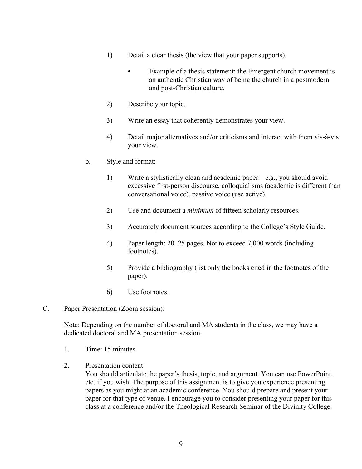- 1) Detail a clear thesis (the view that your paper supports).
	- Example of a thesis statement: the Emergent church movement is an authentic Christian way of being the church in a postmodern and post-Christian culture.
- 2) Describe your topic.
- 3) Write an essay that coherently demonstrates your view.
- 4) Detail major alternatives and/or criticisms and interact with them vis-à-vis your view.
- b. Style and format:
	- 1) Write a stylistically clean and academic paper—e.g., you should avoid excessive first-person discourse, colloquialisms (academic is different than conversational voice), passive voice (use active).
	- 2) Use and document a *minimum* of fifteen scholarly resources.
	- 3) Accurately document sources according to the College's Style Guide.
	- 4) Paper length: 20–25 pages. Not to exceed 7,000 words (including footnotes).
	- 5) Provide a bibliography (list only the books cited in the footnotes of the paper).
	- 6) Use footnotes.
- C. Paper Presentation (Zoom session):

Note: Depending on the number of doctoral and MA students in the class, we may have a dedicated doctoral and MA presentation session.

- 1. Time: 15 minutes
- 2. Presentation content:

You should articulate the paper's thesis, topic, and argument. You can use PowerPoint, etc. if you wish. The purpose of this assignment is to give you experience presenting papers as you might at an academic conference. You should prepare and present your paper for that type of venue. I encourage you to consider presenting your paper for this class at a conference and/or the Theological Research Seminar of the Divinity College.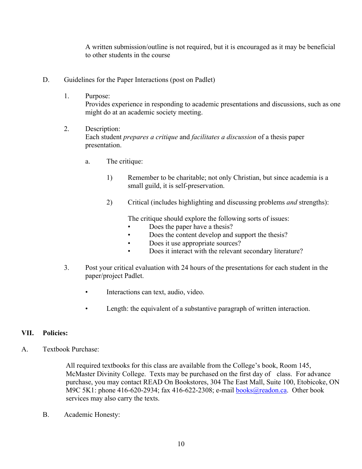A written submission/outline is not required, but it is encouraged as it may be beneficial to other students in the course

- D. Guidelines for the Paper Interactions (post on Padlet)
	- 1. Purpose:

Provides experience in responding to academic presentations and discussions, such as one might do at an academic society meeting.

- 2. Description: Each student *prepares a critique* and *facilitates a discussion* of a thesis paper presentation.
	- a. The critique:
		- 1) Remember to be charitable; not only Christian, but since academia is a small guild, it is self-preservation.
		- 2) Critical (includes highlighting and discussing problems *and* strengths):

The critique should explore the following sorts of issues:

- Does the paper have a thesis?
- Does the content develop and support the thesis?
- Does it use appropriate sources?
- Does it interact with the relevant secondary literature?
- 3. Post your critical evaluation with 24 hours of the presentations for each student in the paper/project Padlet.
	- Interactions can text, audio, video.
	- Length: the equivalent of a substantive paragraph of written interaction.

## **VII. Policies:**

A. Textbook Purchase:

All required textbooks for this class are available from the College's book, Room 145, McMaster Divinity College. Texts may be purchased on the first day of class. For advance purchase, you may contact READ On Bookstores, 304 The East Mall, Suite 100, Etobicoke, ON M9C 5K1: phone 416-620-2934; fax 416-622-2308; e-mail **books@readon.ca.** Other book services may also carry the texts.

B. Academic Honesty: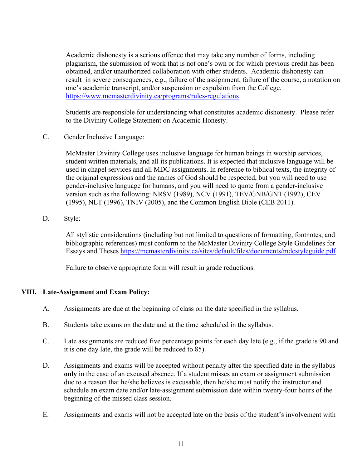Academic dishonesty is a serious offence that may take any number of forms, including plagiarism, the submission of work that is not one's own or for which previous credit has been obtained, and/or unauthorized collaboration with other students. Academic dishonesty can result in severe consequences, e.g., failure of the assignment, failure of the course, a notation on one's academic transcript, and/or suspension or expulsion from the College. https://www.mcmasterdivinity.ca/programs/rules-regulations

Students are responsible for understanding what constitutes academic dishonesty. Please refer to the Divinity College Statement on Academic Honesty.

C. Gender Inclusive Language:

McMaster Divinity College uses inclusive language for human beings in worship services, student written materials, and all its publications. It is expected that inclusive language will be used in chapel services and all MDC assignments. In reference to biblical texts, the integrity of the original expressions and the names of God should be respected, but you will need to use gender-inclusive language for humans, and you will need to quote from a gender-inclusive version such as the following: NRSV (1989), NCV (1991), TEV/GNB/GNT (1992), CEV (1995), NLT (1996), TNIV (2005), and the Common English Bible (CEB 2011).

D. Style:

All stylistic considerations (including but not limited to questions of formatting, footnotes, and bibliographic references) must conform to the McMaster Divinity College Style Guidelines for Essays and Theses https://mcmasterdivinity.ca/sites/default/files/documents/mdcstyleguide.pdf

Failure to observe appropriate form will result in grade reductions.

# **VIII. Late-Assignment and Exam Policy:**

- A. Assignments are due at the beginning of class on the date specified in the syllabus.
- B. Students take exams on the date and at the time scheduled in the syllabus.
- C. Late assignments are reduced five percentage points for each day late (e.g., if the grade is 90 and it is one day late, the grade will be reduced to 85).
- D. Assignments and exams will be accepted without penalty after the specified date in the syllabus **only** in the case of an excused absence. If a student misses an exam or assignment submission due to a reason that he/she believes is excusable, then he/she must notify the instructor and schedule an exam date and/or late-assignment submission date within twenty-four hours of the beginning of the missed class session.
- E. Assignments and exams will not be accepted late on the basis of the student's involvement with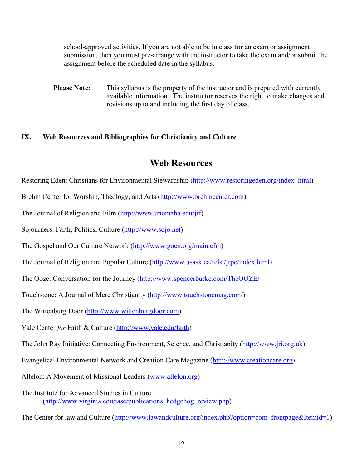school-approved activities. If you are not able to be in class for an exam or assignment submission, then you must pre-arrange with the instructor to take the exam and/or submit the assignment before the scheduled date in the syllabus.

**Please Note:** This syllabus is the property of the instructor and is prepared with currently available information. The instructor reserves the right to make changes and revisions up to and including the first day of class.

# **IX. Web Resources and Bibliographies for Christianity and Culture**

# **Web Resources**

Restoring Eden: Christians for Environmental Stewardship (http://www.restoringeden.org/index\_html)

Brehm Center for Worship, Theology, and Arts (http://www.brehmcenter.com)

The Journal of Religion and Film (http://www.unomaha.edu/jrf)

Sojourners: Faith, Politics, Culture (http://www.sojo.net)

The Gospel and Our Culture Network (http://www.gocn.org/main.cfm)

The Journal of Religion and Popular Culture (http://www.usask.ca/relst/jrpc/index.html)

The Ooze: Conversation for the Journey (http://www.spencerburke.com/TheOOZE/

Touchstone: A Journal of Mere Christianity (http://www.touchstonemag.com/)

The Wittenburg Door (http://www.wittenburgdoor.com)

Yale Center *for* Faith & Culture (http://www.yale.edu/faith)

The John Ray Initiative: Connecting Environment, Science, and Christianity (http://www.jri.org.uk)

Evangelical Environmental Network and Creation Care Magazine (http://www.creationcare.org)

Allelon: A Movement of Missional Leaders (www.allelon.org)

The Institute for Advanced Studies in Culture (http://www.virginia.edu/iasc/publications hedgehog review.php)

The Center for law and Culture (http://www.lawandculture.org/index.php?option=com\_frontpage&Itemid=1)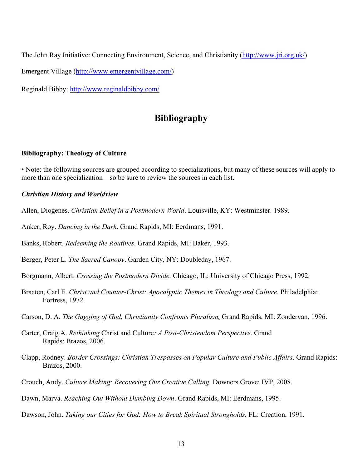The John Ray Initiative: Connecting Environment, Science, and Christianity (http://www.jri.org.uk/)

Emergent Village (http://www.emergentvillage.com/)

Reginald Bibby: http://www.reginaldbibby.com/

# **Bibliography**

#### **Bibliography: Theology of Culture**

• Note: the following sources are grouped according to specializations, but many of these sources will apply to more than one specialization—so be sure to review the sources in each list.

#### *Christian History and Worldview*

- Allen, Diogenes. *Christian Belief in a Postmodern World*. Louisville, KY: Westminster. 1989.
- Anker, Roy. *Dancing in the Dark*. Grand Rapids, MI: Eerdmans, 1991.

Banks, Robert. *Redeeming the Routines*. Grand Rapids, MI: Baker. 1993.

Berger, Peter L. *The Sacred Canopy*. Garden City, NY: Doubleday, 1967.

Borgmann, Albert. *Crossing the Postmodern Divide.* Chicago, IL: University of Chicago Press, 1992.

- Braaten, Carl E. *Christ and Counter-Christ: Apocalyptic Themes in Theology and Culture*. Philadelphia: Fortress, 1972.
- Carson, D. A. *The Gagging of God, Christianity Confronts Pluralism.* Grand Rapids, MI: Zondervan, 1996.
- Carter, Craig A. *Rethinking* Christ and Culture*: A Post-Christendom Perspective*. Grand Rapids: Brazos, 2006.
- Clapp, Rodney. *Border Crossings: Christian Trespasses on Popular Culture and Public Affairs*. Grand Rapids: Brazos, 2000.
- Crouch, Andy. *Culture Making: Recovering Our Creative Calling*. Downers Grove: IVP, 2008.
- Dawn, Marva. *Reaching Out Without Dumbing Down*. Grand Rapids, MI: Eerdmans, 1995.
- Dawson, John. *Taking our Cities for God: How to Break Spiritual Strongholds.* FL: Creation, 1991.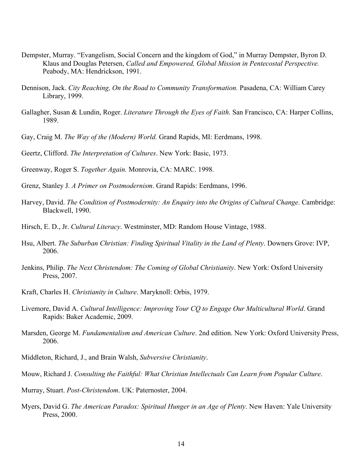- Dempster, Murray. "Evangelism, Social Concern and the kingdom of God," in Murray Dempster, Byron D. Klaus and Douglas Petersen, *Called and Empowered, Global Mission in Pentecostal Perspective.*  Peabody, MA: Hendrickson, 1991.
- Dennison, Jack. *City Reaching, On the Road to Community Transformation.* Pasadena, CA: William Carey Library, 1999.
- Gallagher, Susan & Lundin, Roger. *Literature Through the Eyes of Faith*. San Francisco, CA: Harper Collins, 1989.
- Gay, Craig M. *The Way of the (Modern) World.* Grand Rapids, MI: Eerdmans, 1998.
- Geertz, Clifford. *The Interpretation of Cultures*. New York: Basic, 1973.
- Greenway, Roger S. *Together Again.* Monrovia, CA: MARC. 1998.
- Grenz, Stanley J. *A Primer on Postmodernism*. Grand Rapids: Eerdmans, 1996.
- Harvey, David. *The Condition of Postmodernity: An Enquiry into the Origins of Cultural Change*. Cambridge: Blackwell, 1990.
- Hirsch, E. D., Jr. *Cultural Literacy*. Westminster, MD: Random House Vintage, 1988.
- Hsu, Albert. *The Suburban Christian: Finding Spiritual Vitality in the Land of Plenty*. Downers Grove: IVP, 2006.
- Jenkins, Philip. *The Next Christendom: The Coming of Global Christianity*. New York: Oxford University Press, 2007.
- Kraft, Charles H. *Christianity in Culture*. Maryknoll: Orbis, 1979.
- Livemore, David A. *Cultural Intelligence: Improving Your CQ to Engage Our Multicultural World*. Grand Rapids: Baker Academic, 2009.
- Marsden, George M. *Fundamentalism and American Culture*. 2nd edition. New York: Oxford University Press, 2006.
- Middleton, Richard, J., and Brain Walsh, *Subversive Christianity*.
- Mouw, Richard J. *Consulting the Faithful: What Christian Intellectuals Can Learn from Popular Culture*.
- Murray, Stuart. *Post-Christendom*. UK: Paternoster, 2004.
- Myers, David G. *The American Paradox: Spiritual Hunger in an Age of Plenty*. New Haven: Yale University Press, 2000.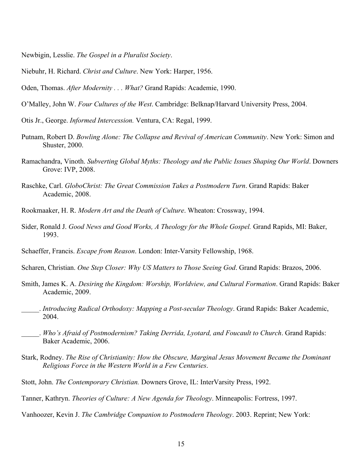Newbigin, Lesslie. *The Gospel in a Pluralist Society*.

Niebuhr, H. Richard. *Christ and Culture*. New York: Harper, 1956.

Oden, Thomas. *After Modernity . . . What?* Grand Rapids: Academie, 1990.

- O'Malley, John W. *Four Cultures of the West*. Cambridge: Belknap/Harvard University Press, 2004.
- Otis Jr., George. *Informed Intercession.* Ventura, CA: Regal, 1999.
- Putnam, Robert D. *Bowling Alone: The Collapse and Revival of American Community*. New York: Simon and Shuster, 2000.
- Ramachandra, Vinoth. *Subverting Global Myths: Theology and the Public Issues Shaping Our World*. Downers Grove: IVP, 2008.
- Raschke, Carl. *GloboChrist: The Great Commission Takes a Postmodern Turn*. Grand Rapids: Baker Academic, 2008.
- Rookmaaker, H. R. *Modern Art and the Death of Culture*. Wheaton: Crossway, 1994.
- Sider, Ronald J. *Good News and Good Works, A Theology for the Whole Gospel.* Grand Rapids, MI: Baker, 1993.
- Schaeffer, Francis. *Escape from Reason*. London: Inter-Varsity Fellowship, 1968.
- Scharen, Christian. *One Step Closer: Why US Matters to Those Seeing God*. Grand Rapids: Brazos, 2006.
- Smith, James K. A. *Desiring the Kingdom: Worship, Worldview, and Cultural Formation*. Grand Rapids: Baker Academic, 2009.
- \_\_\_\_\_. *Introducing Radical Orthodoxy: Mapping a Post-secular Theology*. Grand Rapids: Baker Academic, 2004.
- \_\_\_\_\_. *Who's Afraid of Postmodernism? Taking Derrida, Lyotard, and Foucault to Church*. Grand Rapids: Baker Academic, 2006.
- Stark, Rodney. *The Rise of Christianity: How the Obscure, Marginal Jesus Movement Became the Dominant Religious Force in the Western World in a Few Centuries*.
- Stott, John. *The Contemporary Christian.* Downers Grove, IL: InterVarsity Press, 1992.
- Tanner, Kathryn. *Theories of Culture: A New Agenda for Theology*. Minneapolis: Fortress, 1997.
- Vanhoozer, Kevin J. *The Cambridge Companion to Postmodern Theology*. 2003. Reprint; New York: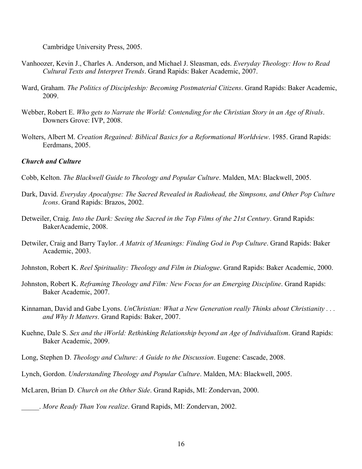Cambridge University Press, 2005.

- Vanhoozer, Kevin J., Charles A. Anderson, and Michael J. Sleasman, eds. *Everyday Theology: How to Read Cultural Texts and Interpret Trends*. Grand Rapids: Baker Academic, 2007.
- Ward, Graham. *The Politics of Discipleship: Becoming Postmaterial Citizens*. Grand Rapids: Baker Academic, 2009.
- Webber, Robert E. *Who gets to Narrate the World: Contending for the Christian Story in an Age of Rivals*. Downers Grove: IVP, 2008.
- Wolters, Albert M. *Creation Regained: Biblical Basics for a Reformational Worldview*. 1985. Grand Rapids: Eerdmans, 2005.

#### *Church and Culture*

- Cobb, Kelton. *The Blackwell Guide to Theology and Popular Culture*. Malden, MA: Blackwell, 2005.
- Dark, David. *Everyday Apocalypse: The Sacred Revealed in Radiohead, the Simpsons, and Other Pop Culture Icons*. Grand Rapids: Brazos, 2002.
- Detweiler, Craig. *Into the Dark: Seeing the Sacred in the Top Films of the 21st Century*. Grand Rapids: BakerAcademic, 2008.
- Detwiler, Craig and Barry Taylor. *A Matrix of Meanings: Finding God in Pop Culture*. Grand Rapids: Baker Academic, 2003.
- Johnston, Robert K. *Reel Spirituality: Theology and Film in Dialogue*. Grand Rapids: Baker Academic, 2000.
- Johnston, Robert K. *Reframing Theology and Film: New Focus for an Emerging Discipline*. Grand Rapids: Baker Academic, 2007.
- Kinnaman, David and Gabe Lyons. *UnChristian: What a New Generation really Thinks about Christianity . . . and Why It Matters*. Grand Rapids: Baker, 2007.
- Kuehne, Dale S. *Sex and the iWorld: Rethinking Relationship beyond an Age of Individualism*. Grand Rapids: Baker Academic, 2009.
- Long, Stephen D. *Theology and Culture: A Guide to the Discussion*. Eugene: Cascade, 2008.
- Lynch, Gordon. *Understanding Theology and Popular Culture*. Malden, MA: Blackwell, 2005.
- McLaren, Brian D. *Church on the Other Side*. Grand Rapids, MI: Zondervan, 2000.

\_\_\_\_\_. *More Ready Than You realize*. Grand Rapids, MI: Zondervan, 2002.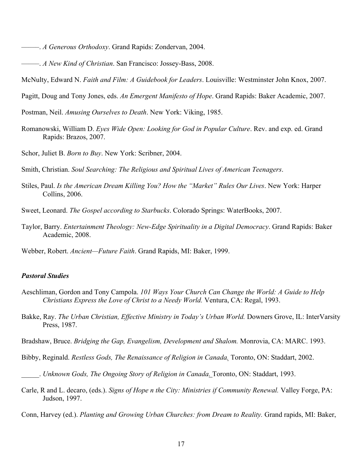- –––––. *A Generous Orthodoxy*. Grand Rapids: Zondervan, 2004.
- –––––. *A New Kind of Christian*. San Francisco: Jossey-Bass, 2008.
- McNulty, Edward N. *Faith and Film: A Guidebook for Leaders*. Louisville: Westminster John Knox, 2007.
- Pagitt, Doug and Tony Jones, eds. *An Emergent Manifesto of Hope*. Grand Rapids: Baker Academic, 2007.

Postman, Neil. *Amusing Ourselves to Death*. New York: Viking, 1985.

- Romanowski, William D. *Eyes Wide Open: Looking for God in Popular Culture*. Rev. and exp. ed. Grand Rapids: Brazos, 2007.
- Schor, Juliet B. *Born to Buy*. New York: Scribner, 2004.

Smith, Christian. *Soul Searching: The Religious and Spiritual Lives of American Teenagers*.

- Stiles, Paul. *Is the American Dream Killing You? How the "Market" Rules Our Lives*. New York: Harper Collins, 2006.
- Sweet, Leonard. *The Gospel according to Starbucks*. Colorado Springs: WaterBooks, 2007.
- Taylor, Barry. *Entertainment Theology: New-Edge Spirituality in a Digital Democracy*. Grand Rapids: Baker Academic, 2008.
- Webber, Robert. *Ancient—Future Faith*. Grand Rapids, MI: Baker, 1999.

#### *Pastoral Studies*

- Aeschliman, Gordon and Tony Campola. *101 Ways Your Church Can Change the World: A Guide to Help Christians Express the Love of Christ to a Needy World.* Ventura, CA: Regal, 1993.
- Bakke, Ray. *The Urban Christian, Effective Ministry in Today's Urban World.* Downers Grove, IL: InterVarsity Press, 1987.
- Bradshaw, Bruce. *Bridging the Gap, Evangelism, Development and Shalom.* Monrovia, CA: MARC. 1993.
- Bibby, Reginald. *Restless Gods, The Renaissance of Religion in Canada.* Toronto, ON: Staddart, 2002.
- \_\_\_\_\_. *Unknown Gods, The Ongoing Story of Religion in Canada.* Toronto, ON: Staddart, 1993.
- Carle, R and L. decaro, (eds.). *Signs of Hope n the City: Ministries if Community Renewal.* Valley Forge, PA: Judson, 1997.
- Conn, Harvey (ed.). *Planting and Growing Urban Churches: from Dream to Reality.* Grand rapids, MI: Baker,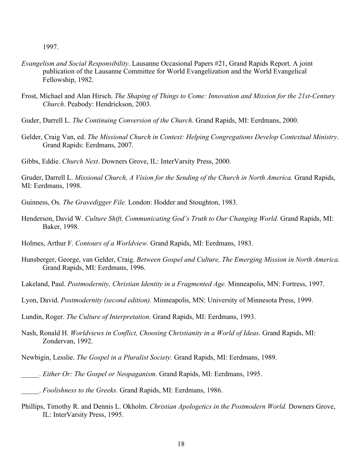1997.

- *Evangelism and Social Responsibility*. Lausanne Occasional Papers #21, Grand Rapids Report. A joint publication of the Lausanne Committee for World Evangelization and the World Evangelical Fellowship, 1982.
- Frost, Michael and Alan Hirsch. *The Shaping of Things to Come: Innovation and Mission for the 21st-Century Church*. Peabody: Hendrickson, 2003.
- Guder, Darrell L. *The Continuing Conversion of the Church*. Grand Rapids, MI: Eerdmans, 2000.
- Gelder, Craig Van, ed. *The Missional Church in Context: Helping Congregations Develop Contextual Ministry*. Grand Rapids: Eerdmans, 2007.
- Gibbs, Eddie. *Church Next*. Downers Grove, IL: InterVarsity Press, 2000.

Gruder, Darrell L. *Missional Church, A Vision for the Sending of the Church in North America.* Grand Rapids, MI: Eerdmans, 1998.

- Guinness, Os. *The Gravedigger File.* London: Hodder and Stoughton, 1983.
- Henderson, David W. *Culture Shift, Communicating God's Truth to Our Changing World.* Grand Rapids, MI: Baker, 1998.
- Holmes, Arthur F. *Contours of a Worldview.* Grand Rapids, MI: Eerdmans, 1983.
- Hunsberger, George, van Gelder, Craig. *Between Gospel and Culture, The Emerging Mission in North America.*  Grand Rapids, MI: Eerdmans, 1996.
- Lakeland, Paul. *Postmodernity, Christian Identity in a Fragmented Age.* Minneapolis, MN: Fortress, 1997.
- Lyon, David. *Postmodernity (second edition).* Minneapolis, MN: University of Minnesota Press, 1999.
- Lundin, Roger. *The Culture of Interpretation.* Grand Rapids, MI: Eerdmans, 1993.
- Nash, Ronald H. *Worldviews in Conflict, Choosing Christianity in a World of Ideas.* Grand Rapids, MI: Zondervan, 1992.
- Newbigin, Lesslie. *The Gospel in a Pluralist Society.* Grand Rapids, MI: Eerdmans, 1989.
- \_\_\_\_\_. *Either Or: The Gospel or Neopaganism.* Grand Rapids, MI: Eerdmans, 1995.
- \_\_\_\_\_. *Foolishness to the Greeks.* Grand Rapids, MI: Eerdmans, 1986.
- Phillips, Timothy R. and Dennis L. Okholm. *Christian Apologetics in the Postmodern World.* Downers Grove, IL: InterVarsity Press, 1995.